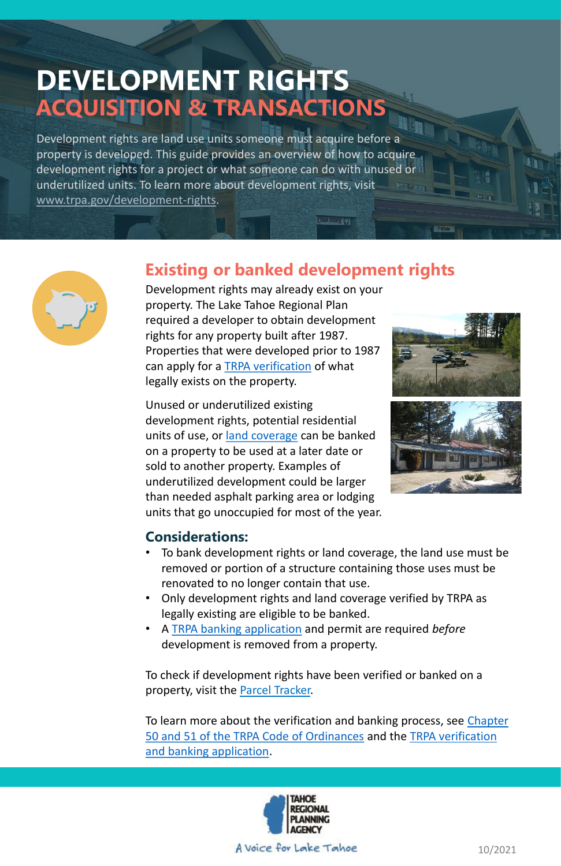# **DEVELOPMENT RIGHTS ACQUISITION & TRANSACTIONS**

Development rights are land use units someone must acquire before a property is developed. This guide provides an overview of how to acquire development rights for a project or what someone can do with unused or underutilized units. To learn more about development rights, visit [www.trpa.gov/development-rights](https://www.trpa.gov/development-rights/).



### **Considerations:**

- To bank development rights or land coverage, the land use must be removed or portion of a structure containing those uses must be renovated to no longer contain that use.
- Only development rights and land coverage verified by TRPA as legally existing are eligible to be banked.
- A [TRPA banking application](https://www.trpa.gov/wp-content/uploads/documents/archive/2/Banking_Verification_of_Existing_Development_Uses.pdf) and permit are required *before*

development is removed from a property.

To check if development rights have been verified or banked on a property, visit the [Parcel Tracker.](https://parcels.laketahoeinfo.org/)

[To learn more about the verification and banking process, see Chapter](https://www.trpa.gov/regional-plan/#code) [50 and 51 of the TRPA Code of Ordinances](https://www.trpa.gov/wp-content/uploads/documents/archive/2/Banking_Verification_of_Existing_Development_Uses.pdf) and the TRPA verification and banking application.



A Voice for Lake Tahoe

### **Existing or banked development rights**

0.201.119

Development rights may already exist on your property. The Lake Tahoe Regional Plan required a developer to obtain development rights for any property built after 1987. Properties that were developed prior to 1987 can apply for a **TRPA** verification of what legally exists on the property.

Unused or underutilized existing development rights, potential residential units of use, or [land coverage](https://www.trpa.gov/land-coverage/) can be banked on a property to be used at a later date or sold to another property. Examples of underutilized development could be larger than needed asphalt parking area or lodging units that go unoccupied for most of the year.





10/2021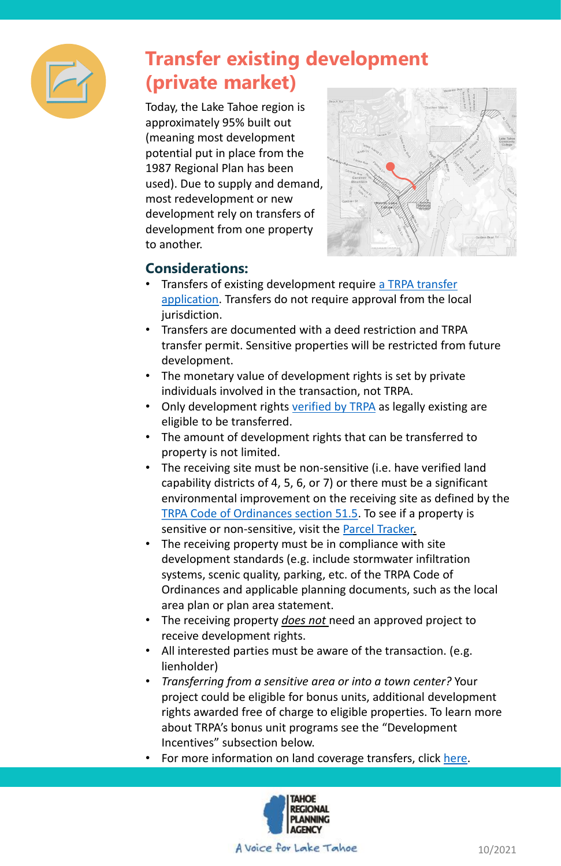### **Considerations:**

- [Transfers of existing development require a TRPA transfer](https://www.trpa.gov/wp-content/uploads/documents/archive/2/Transfer_of_Bankable_Rights_Application.pdf) application. Transfers do not require approval from the local jurisdiction.
- Transfers are documented with a deed restriction and TRPA transfer permit. Sensitive properties will be restricted from future development.
- The monetary value of development rights is set by private individuals involved in the transaction, not TRPA.
- Only development rights [verified by TRPA](https://www.trpa.gov/wp-content/uploads/documents/archive/2/Banking_Verification_of_Existing_Development_Uses.pdf) as legally existing are eligible to be transferred.
- The amount of development rights that can be transferred to property is not limited.
- The receiving site must be non-sensitive (i.e. have verified land capability districts of 4, 5, 6, or 7) or there must be a significant environmental improvement on the receiving site as defined by the [TRPA Code of Ordinances section 51.5.](https://www.trpa.gov/regional-plan/#code) To see if a property is sensitive or non-sensitive, visit the **Parcel Tracker**.
- The receiving property must be in compliance with site development standards (e.g. include stormwater infiltration systems, scenic quality, parking, etc. of the TRPA Code of Ordinances and applicable planning documents, such as the local area plan or plan area statement.
- The receiving property *does not* need an approved project to receive development rights.
- All interested parties must be aware of the transaction. (e.g. lienholder)
- *Transferring from a sensitive area or into a town center?* Your project could be eligible for bonus units, additional development rights awarded free of charge to eligible properties. To learn more about TRPA's bonus unit programs see the "Development Incentives" subsection below.
- For more information on land coverage transfers, click [here](https://www.trpa.gov/land-coverage/).





# **Transfer existing development (private market)**

Today, the Lake Tahoe region is approximately 95% built out (meaning most development potential put in place from the 1987 Regional Plan has been used). Due to supply and demand, most redevelopment or new development rely on transfers of development from one property to another.



10/2021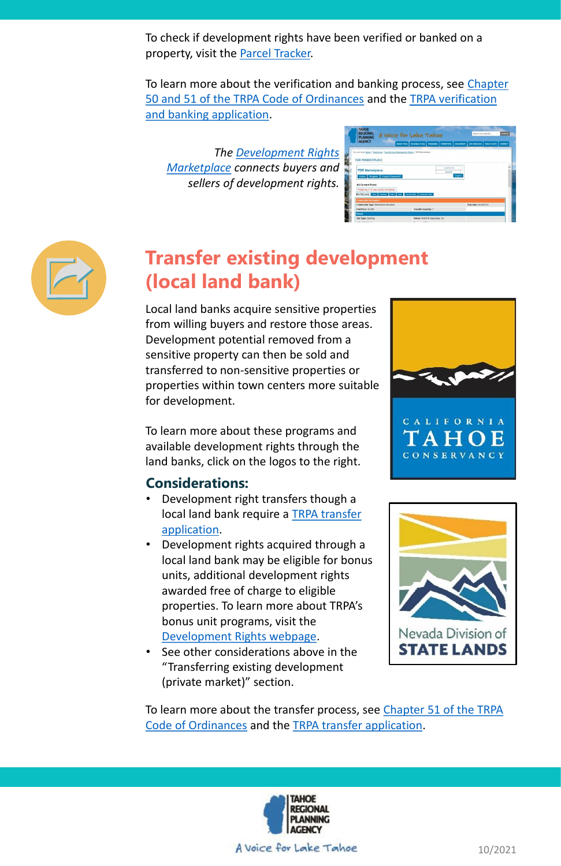To check if development rights have been verified or banked on a property, visit the [Parcel Tracker.](https://parcels.laketahoeinfo.org/)

[To learn more about the verification and banking process, see Chapter](https://www.trpa.gov/regional-plan/#code) [50 and 51 of the TRPA Code of Ordinances](https://www.trpa.gov/wp-content/uploads/documents/archive/2/Banking_Verification_of_Existing_Development_Uses.pdf) and the TRPA verification and banking application.

*[The Development Rights](https://www.trpa.gov/development-rights/tdr-marketplace/) Marketplace connects buyers and sellers of development rights.* 

| <b>AGENCY</b>                                                                       |                          | <b>ABOUT TRPA</b> | <b>REGIONAL PLAN</b>                   | PROGRAMS | <b>PERMITTING</b> | <b>DOCUMENTS</b> | <b>GET INVOLVED</b>   | <b>TAHOE FACTS</b> | <b>CONTACT</b> |
|-------------------------------------------------------------------------------------|--------------------------|-------------------|----------------------------------------|----------|-------------------|------------------|-----------------------|--------------------|----------------|
|                                                                                     |                          |                   |                                        |          |                   |                  |                       |                    |                |
| You are here: Home / Permitting / Transferring Development Rights / TDR Marketplace |                          |                   |                                        |          |                   |                  |                       |                    |                |
|                                                                                     |                          |                   |                                        |          |                   |                  |                       |                    |                |
| <b>TDR MARKETPLACE</b>                                                              |                          |                   |                                        |          |                   |                  |                       |                    |                |
|                                                                                     |                          |                   |                                        |          |                   |                  |                       |                    |                |
| <b>TDR Marketplace</b>                                                              |                          |                   |                                        |          | usamama<br>       |                  |                       |                    |                |
|                                                                                     |                          |                   |                                        |          |                   |                  |                       |                    |                |
|                                                                                     |                          |                   |                                        |          |                   |                  |                       |                    |                |
| Home Register                                                                       | <b>Forgot Password?</b>  |                   |                                        |          |                   | Log In           |                       |                    |                |
| <b>All Current Posts</b>                                                            |                          |                   |                                        |          |                   |                  |                       |                    |                |
|                                                                                     | ************************ |                   |                                        |          |                   |                  |                       |                    |                |
| Please log in to view contact information.                                          |                          |                   |                                        |          |                   |                  |                       |                    |                |
| 10 of 63 posts First Previous Next                                                  |                          | List              | Sort by Date<br><b>Advanced Filter</b> |          |                   |                  |                       |                    |                |
| <b>Commodity Information</b>                                                        |                          |                   |                                        |          |                   |                  |                       |                    |                |
| Commodity Type: Residential Allocation                                              |                          |                   |                                        |          |                   |                  | Post Date: 04/25/2019 |                    |                |



# **Transfer existing development (local land bank)**

Local land banks acquire sensitive properties from willing buyers and restore those areas. Development potential removed from a sensitive property can then be sold and transferred to non-sensitive properties or properties within town centers more suitable for development.

See other considerations above in the "Transferring existing development (private market)" section.

To learn more about these programs and available development rights through the land banks, click on the logos to the right.

#### **Considerations:**

- Development right transfers though a local land bank require a TRPA transfer application.
- Development rights acquired through a local land bank may be eligible for bonus units, additional development rights awarded free of charge to eligible properties. To learn more about TRPA's bonus unit programs, visit the [Development Rights webpage](https://www.trpa.gov/development-rights/).





[To learn more about the transfer process, see Chapter 51 of the TRPA](https://www.trpa.gov/regional-plan/#code)  Code of Ordinances and the [TRPA transfer application.](https://www.trpa.gov/wp-content/uploads/documents/archive/2/Transfer_of_Bankable_Rights_Application.pdf)



A Voice for Lake Tahoe

10/2021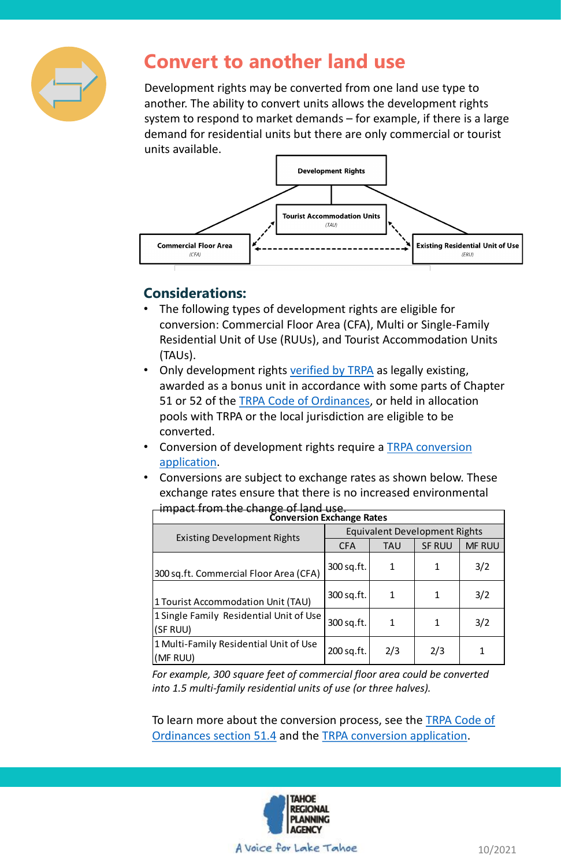

### **Convert to another land use**

Development rights may be converted from one land use type to another. The ability to convert units allows the development rights system to respond to market demands – for example, if there is a large demand for residential units but there are only commercial or tourist units available.



### **Considerations:**

- The following types of development rights are eligible for conversion: Commercial Floor Area (CFA), Multi or Single-Family Residential Unit of Use (RUUs), and Tourist Accommodation Units (TAUs).
- Only development rights [verified by TRPA](https://www.trpa.gov/wp-content/uploads/documents/archive/2/Banking_Verification_of_Existing_Development_Uses.pdf) as legally existing, awarded as a bonus unit in accordance with some parts of Chapter 51 or 52 of the [TRPA Code of Ordinances](https://www.trpa.gov/regional-plan/#code), or held in allocation pools with TRPA or the local jurisdiction are eligible to be converted.
- Conversion of development rights require a **TRPA conversion** application.
- Conversions are subject to exchange rates as shown below. These exchange rates ensure that there is no increased environmental impact from the change of land use.

To learn more about the conversion process, see the **TRPA Code of** Ordinances section 51.4 and the [TRPA conversion application](https://www.trpa.gov/wp-content/uploads/documents/archive/Conversion_Info_Application.pdf).



A voice for Lake Tahoe

| <del>IIIINACL IIOIII LHE CHAHKE OF IAHU USE.</del><br><b>Conversion Exchange Rates</b> |                                      |              |               |               |  |  |  |  |  |  |
|----------------------------------------------------------------------------------------|--------------------------------------|--------------|---------------|---------------|--|--|--|--|--|--|
| <b>Existing Development Rights</b>                                                     | <b>Equivalent Development Rights</b> |              |               |               |  |  |  |  |  |  |
|                                                                                        | <b>CFA</b>                           | <b>TAU</b>   | <b>SF RUU</b> | <b>MF RUU</b> |  |  |  |  |  |  |
| 300 sq.ft. Commercial Floor Area (CFA)                                                 | 300 sq.ft.                           | $\mathbf{1}$ |               | 3/2           |  |  |  |  |  |  |
| 1 Tourist Accommodation Unit (TAU)                                                     | 300 sq.ft.                           | $\mathbf 1$  | 1             | 3/2           |  |  |  |  |  |  |
| 1 Single Family Residential Unit of Use<br>(SF RUU)                                    | 300 sq.ft.                           | $\mathbf{1}$ |               | 3/2           |  |  |  |  |  |  |
| 1 Multi-Family Residential Unit of Use<br>(MF RUU)                                     | 200 sq.ft.                           | 2/3          | 2/3           |               |  |  |  |  |  |  |

*For example, 300 square feet of commercial floor area could be converted into 1.5 multi-family residential units of use (or three halves).*